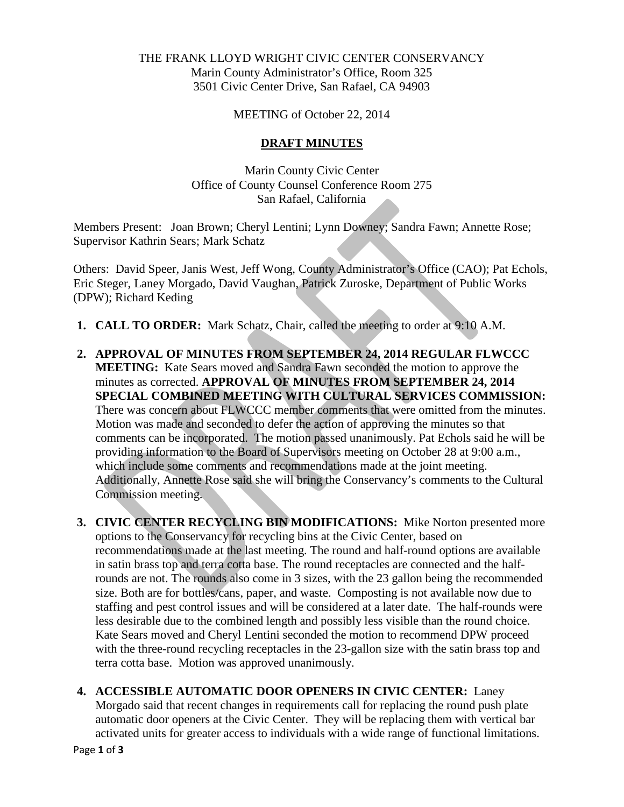## THE FRANK LLOYD WRIGHT CIVIC CENTER CONSERVANCY Marin County Administrator's Office, Room 325 3501 Civic Center Drive, San Rafael, CA 94903

MEETING of October 22, 2014

## **DRAFT MINUTES**

Marin County Civic Center Office of County Counsel Conference Room 275 San Rafael, California

Members Present: Joan Brown; Cheryl Lentini; Lynn Downey; Sandra Fawn; Annette Rose; Supervisor Kathrin Sears; Mark Schatz

Others: David Speer, Janis West, Jeff Wong, County Administrator's Office (CAO); Pat Echols, Eric Steger, Laney Morgado, David Vaughan, Patrick Zuroske, Department of Public Works (DPW); Richard Keding

- **1. CALL TO ORDER:** Mark Schatz, Chair, called the meeting to order at 9:10 A.M.
- **2. APPROVAL OF MINUTES FROM SEPTEMBER 24, 2014 REGULAR FLWCCC MEETING:** Kate Sears moved and Sandra Fawn seconded the motion to approve the minutes as corrected. **APPROVAL OF MINUTES FROM SEPTEMBER 24, 2014 SPECIAL COMBINED MEETING WITH CULTURAL SERVICES COMMISSION:**  There was concern about FLWCCC member comments that were omitted from the minutes. Motion was made and seconded to defer the action of approving the minutes so that comments can be incorporated. The motion passed unanimously. Pat Echols said he will be providing information to the Board of Supervisors meeting on October 28 at 9:00 a.m., which include some comments and recommendations made at the joint meeting. Additionally, Annette Rose said she will bring the Conservancy's comments to the Cultural Commission meeting.
- **3. CIVIC CENTER RECYCLING BIN MODIFICATIONS:** Mike Norton presented more options to the Conservancy for recycling bins at the Civic Center, based on recommendations made at the last meeting. The round and half-round options are available in satin brass top and terra cotta base. The round receptacles are connected and the halfrounds are not. The rounds also come in 3 sizes, with the 23 gallon being the recommended size. Both are for bottles/cans, paper, and waste. Composting is not available now due to staffing and pest control issues and will be considered at a later date. The half-rounds were less desirable due to the combined length and possibly less visible than the round choice. Kate Sears moved and Cheryl Lentini seconded the motion to recommend DPW proceed with the three-round recycling receptacles in the 23-gallon size with the satin brass top and terra cotta base. Motion was approved unanimously.
- **4. ACCESSIBLE AUTOMATIC DOOR OPENERS IN CIVIC CENTER:** Laney Morgado said that recent changes in requirements call for replacing the round push plate automatic door openers at the Civic Center. They will be replacing them with vertical bar activated units for greater access to individuals with a wide range of functional limitations.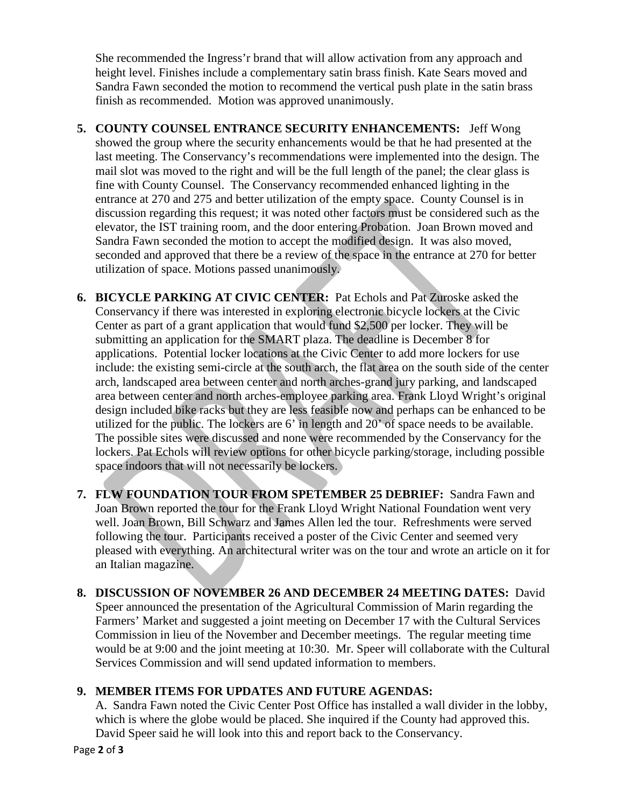She recommended the Ingress'r brand that will allow activation from any approach and height level. Finishes include a complementary satin brass finish. Kate Sears moved and Sandra Fawn seconded the motion to recommend the vertical push plate in the satin brass finish as recommended. Motion was approved unanimously.

- **5. COUNTY COUNSEL ENTRANCE SECURITY ENHANCEMENTS:** Jeff Wong showed the group where the security enhancements would be that he had presented at the last meeting. The Conservancy's recommendations were implemented into the design. The mail slot was moved to the right and will be the full length of the panel; the clear glass is fine with County Counsel. The Conservancy recommended enhanced lighting in the entrance at 270 and 275 and better utilization of the empty space. County Counsel is in discussion regarding this request; it was noted other factors must be considered such as the elevator, the IST training room, and the door entering Probation. Joan Brown moved and Sandra Fawn seconded the motion to accept the modified design. It was also moved, seconded and approved that there be a review of the space in the entrance at 270 for better utilization of space. Motions passed unanimously.
- **6. BICYCLE PARKING AT CIVIC CENTER:** Pat Echols and Pat Zuroske asked the Conservancy if there was interested in exploring electronic bicycle lockers at the Civic Center as part of a grant application that would fund \$2,500 per locker. They will be submitting an application for the SMART plaza. The deadline is December 8 for applications. Potential locker locations at the Civic Center to add more lockers for use include: the existing semi-circle at the south arch, the flat area on the south side of the center arch, landscaped area between center and north arches-grand jury parking, and landscaped area between center and north arches-employee parking area. Frank Lloyd Wright's original design included bike racks but they are less feasible now and perhaps can be enhanced to be utilized for the public. The lockers are 6' in length and 20' of space needs to be available. The possible sites were discussed and none were recommended by the Conservancy for the lockers. Pat Echols will review options for other bicycle parking/storage, including possible space indoors that will not necessarily be lockers.
- **7. FLW FOUNDATION TOUR FROM SPETEMBER 25 DEBRIEF:** Sandra Fawn and Joan Brown reported the tour for the Frank Lloyd Wright National Foundation went very well. Joan Brown, Bill Schwarz and James Allen led the tour. Refreshments were served following the tour. Participants received a poster of the Civic Center and seemed very pleased with everything. An architectural writer was on the tour and wrote an article on it for an Italian magazine.
- **8. DISCUSSION OF NOVEMBER 26 AND DECEMBER 24 MEETING DATES:** David Speer announced the presentation of the Agricultural Commission of Marin regarding the Farmers' Market and suggested a joint meeting on December 17 with the Cultural Services Commission in lieu of the November and December meetings. The regular meeting time would be at 9:00 and the joint meeting at 10:30. Mr. Speer will collaborate with the Cultural Services Commission and will send updated information to members.

## **9. MEMBER ITEMS FOR UPDATES AND FUTURE AGENDAS:**

A. Sandra Fawn noted the Civic Center Post Office has installed a wall divider in the lobby, which is where the globe would be placed. She inquired if the County had approved this. David Speer said he will look into this and report back to the Conservancy.